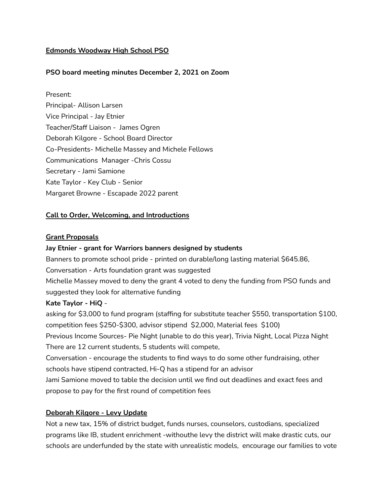## **Edmonds Woodway High School PSO**

## **PSO board meeting minutes December 2, 2021 on Zoom**

Present: Principal- Allison Larsen Vice Principal - Jay Etnier Teacher/Staff Liaison - James Ogren Deborah Kilgore - School Board Director Co-Presidents- Michelle Massey and Michele Fellows Communications Manager -Chris Cossu Secretary - Jami Samione Kate Taylor - Key Club - Senior Margaret Browne - Escapade 2022 parent

## **Call to Order, Welcoming, and Introductions**

#### **Grant Proposals**

## **Jay Etnier - grant for Warriors banners designed by students**

Banners to promote school pride - printed on durable/long lasting material \$645.86,

Conversation - Arts foundation grant was suggested

Michelle Massey moved to deny the grant 4 voted to deny the funding from PSO funds and suggested they look for alternative funding

## **Kate Taylor - HiQ** -

asking for \$3,000 to fund program (staffing for substitute teacher \$550, transportation \$100, competition fees \$250-\$300, advisor stipend \$2,000, Material fees \$100) Previous Income Sources- Pie Night (unable to do this year), Trivia Night, Local Pizza Night There are 12 current students, 5 students will compete, Conversation - encourage the students to find ways to do some other fundraising, other schools have stipend contracted, Hi-Q has a stipend for an advisor Jami Samione moved to table the decision until we find out deadlines and exact fees and propose to pay for the first round of competition fees

## **Deborah Kilgore - Levy Update**

Not a new tax, 15% of district budget, funds nurses, counselors, custodians, specialized programs like IB, student enrichment -withouthe levy the district will make drastic cuts, our schools are underfunded by the state with unrealistic models, encourage our families to vote